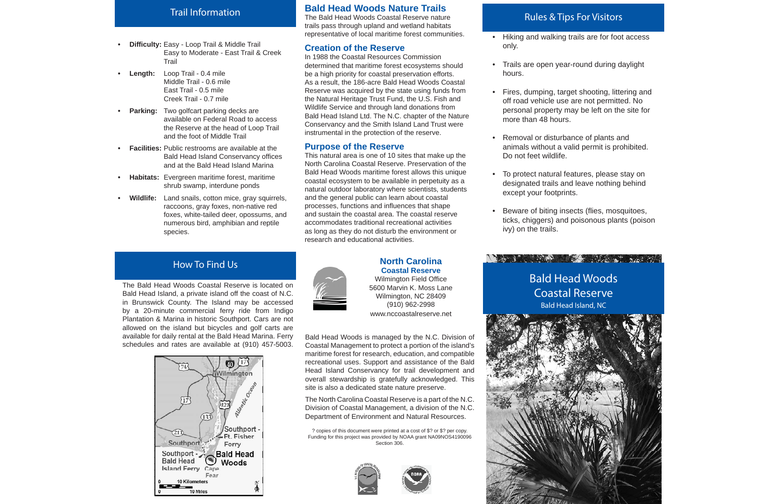#### **Bald Head Woods Nature Trails**

The Bald Head Woods Coastal Reserve nature trails pass through upland and wetland habitats representative of local maritime forest communities.

#### **Creation of the Reserve**

In 1988 the Coastal Resources Commission determined that maritime forest ecosystems should be a high priority for coastal preservation efforts. As a result, the 186-acre Bald Head Woods Coastal Reserve was acquired by the state using funds from the Natural Heritage Trust Fund, the U.S. Fish and Wildlife Service and through land donations from Bald Head Island Ltd. The N.C. chapter of the Nature Conservancy and the Smith Island Land Trust were instrumental in the protection of the reserve.

# **Purpose of the Reserve**



This natural area is one of 10 sites that make up the North Carolina Coastal Reserve. Preservation of the Bald Head Woods maritime forest allows this unique coastal ecosystem to be available in perpetuity as a natural outdoor laboratory where scientists, students and the general public can learn about coastal processes, functions and influences that shape and sustain the coastal area. The coastal reserve accommodates traditional recreational activities as long as they do not disturb the environment or research and educational activities.

#### **North CarolinaCoastal Reserve**Wilmington Field Office

The Bald Head Woods Coastal Reserve is located on Bald Head Island, a private island off the coast of N.C. in Brunswick County. The Island may be accessed by a 20-minute commercial ferry ride from Indigo Plantation & Marina in historic Southport. Cars are not allowed on the island but bicycles and golf carts are available for daily rental at the Bald Head Marina. Ferry schedules and rates are available at (910) 457-5003.



## How To Find Us

#### Trail Information

- **Dif fi culty:** Easy Loop Trail & Middle Trail Easy to Moderate - East Trail & Creek **Trail**
- **Length:** Loop Trail 0.4 mile Middle Trail - 0.6 mile East Trail - 0.5 mileCreek Trail - 0.7 mile
- **Parking:** Two golfcart parking decks are available on Federal Road to access the Reserve at the head of Loop Trail and the foot of Middle Trail
- **Facilities:** Public restrooms are available at the Bald Head Island Conservancy offices and at the Bald Head Island Marina
- **Habitats:** Evergreen maritime forest, maritime shrub swamp, interdune ponds
- **Wildlife:** Land snails, cotton mice, gray squirrels, raccoons, gray foxes, non-native red foxes, white-tailed deer, opossums, and numerous bird, amphibian and reptile species.

5600 Marvin K. Moss LaneWilmington, NC 28409 (910) 962-2998 www.nccoastalreserve.net

Bald Head Woods is managed by the N.C. Division of Coastal Management to protect a portion of the island's maritime forest for research, education, and compatible recreational uses. Support and assistance of the Bald Head Island Conservancy for trail development and overall stewardship is gratefully acknowledged. This site is also a dedicated state nature preserve.

The North Carolina Coastal Reserve is a part of the N.C. Division of Coastal Management, a division of the N.C. Department of Environment and Natural Resources.

? copies of this document were printed at a cost of \$? or \$? per copy. Funding for this project was provided by NOAA grant NA09NOS4190096 Section 306.







• Hiking and walking trails are for foot access

• Fires, dumping, target shooting, littering and off road vehicle use are not permitted. No personal property may be left on the site for

- only.
- Trails are open year-round during daylight hours.
- more than 48 hours.
- Removal or disturbance of plants and Do not feet wildlife.
- except your footprints.
- Beware of biting insects (flies, mosquitoes, ivy) on the trails.

animals without a valid permit is prohibited.

• To protect natural features, please stay on designated trails and leave nothing behind

ticks, chiggers) and poisonous plants (poison

# Rules & Tips For Visitors